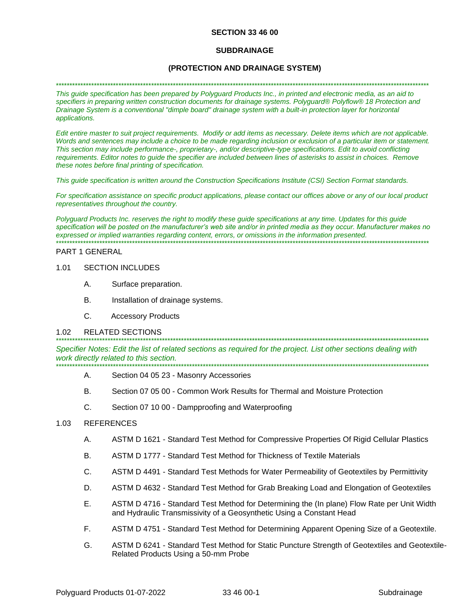### **SECTION 33 46 00**

### **SUBDRAINAGE**

## (PROTECTION AND DRAINAGE SYSTEM)

#### 

This guide specification has been prepared by Polyguard Products Inc., in printed and electronic media, as an aid to specifiers in preparing written construction documents for drainage systems. Polyguard® Polyflow® 18 Protection and Drainage System is a conventional "dimple board" drainage system with a built-in protection layer for horizontal applications.

Edit entire master to suit project requirements. Modify or add items as necessary. Delete items which are not applicable. Words and sentences may include a choice to be made regarding inclusion or exclusion of a particular item or statement. This section may include performance-, proprietary-, and/or descriptive-type specifications. Edit to avoid conflicting requirements. Editor notes to quide the specifier are included between lines of asterisks to assist in choices. Remove these notes before final printing of specification.

This quide specification is written around the Construction Specifications Institute (CSI) Section Format standards.

For specification assistance on specific product applications, please contact our offices above or any of our local product representatives throughout the country.

Polyguard Products Inc. reserves the right to modify these guide specifications at any time. Updates for this guide specification will be posted on the manufacturer's web site and/or in printed media as they occur. Manufacturer makes no expressed or implied warranties regarding content, errors, or omissions in the information presented.

### PART 1 GENERAL

#### 1.01 **SECTION INCLUDES**

- A. Surface preparation.
- **B.** Installation of drainage systems.
- $\mathsf{C}$ **Accessory Products**

#### $1.02$ **RELATED SECTIONS**

Specifier Notes: Edit the list of related sections as required for the project. List other sections dealing with work directly related to this section.

- А. Section 04 05 23 - Masonry Accessories
- B. Section 07 05 00 - Common Work Results for Thermal and Moisture Protection
- C. Section 07 10 00 - Dampproofing and Waterproofing

#### $1.03$ **REFERENCES**

- A. ASTM D 1621 - Standard Test Method for Compressive Properties Of Rigid Cellular Plastics
- В. ASTM D 1777 - Standard Test Method for Thickness of Textile Materials
- C. ASTM D 4491 - Standard Test Methods for Water Permeability of Geotextiles by Permittivity
- D. ASTM D 4632 - Standard Test Method for Grab Breaking Load and Elongation of Geotextiles
- Ε. ASTM D 4716 - Standard Test Method for Determining the (In plane) Flow Rate per Unit Width and Hydraulic Transmissivity of a Geosynthetic Using a Constant Head
- F. ASTM D 4751 - Standard Test Method for Determining Apparent Opening Size of a Geotextile.
- G. ASTM D 6241 - Standard Test Method for Static Puncture Strength of Geotextiles and Geotextile-Related Products Using a 50-mm Probe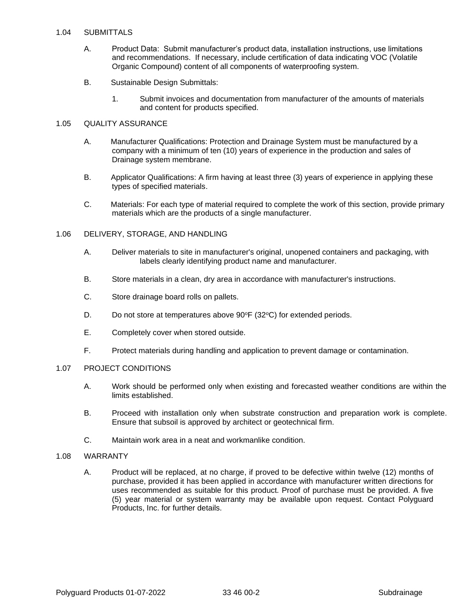## 1.04 SUBMITTALS

- A. Product Data: Submit manufacturer's product data, installation instructions, use limitations and recommendations. If necessary, include certification of data indicating VOC (Volatile Organic Compound) content of all components of waterproofing system.
- B. Sustainable Design Submittals:
	- 1. Submit invoices and documentation from manufacturer of the amounts of materials and content for products specified.

## 1.05 QUALITY ASSURANCE

- A. Manufacturer Qualifications: Protection and Drainage System must be manufactured by a company with a minimum of ten (10) years of experience in the production and sales of Drainage system membrane.
- B. Applicator Qualifications: A firm having at least three (3) years of experience in applying these types of specified materials.
- C. Materials: For each type of material required to complete the work of this section, provide primary materials which are the products of a single manufacturer.

### 1.06 DELIVERY, STORAGE, AND HANDLING

- A. Deliver materials to site in manufacturer's original, unopened containers and packaging, with labels clearly identifying product name and manufacturer.
- B. Store materials in a clean, dry area in accordance with manufacturer's instructions.
- C. Store drainage board rolls on pallets.
- D. Do not store at temperatures above  $90^{\circ}F(32^{\circ}C)$  for extended periods.
- E. Completely cover when stored outside.
- F. Protect materials during handling and application to prevent damage or contamination.

## 1.07 PROJECT CONDITIONS

- A. Work should be performed only when existing and forecasted weather conditions are within the limits established.
- B. Proceed with installation only when substrate construction and preparation work is complete. Ensure that subsoil is approved by architect or geotechnical firm.
- C. Maintain work area in a neat and workmanlike condition.

### 1.08 WARRANTY

A. Product will be replaced, at no charge, if proved to be defective within twelve (12) months of purchase, provided it has been applied in accordance with manufacturer written directions for uses recommended as suitable for this product. Proof of purchase must be provided. A five (5) year material or system warranty may be available upon request. Contact Polyguard Products, Inc. for further details.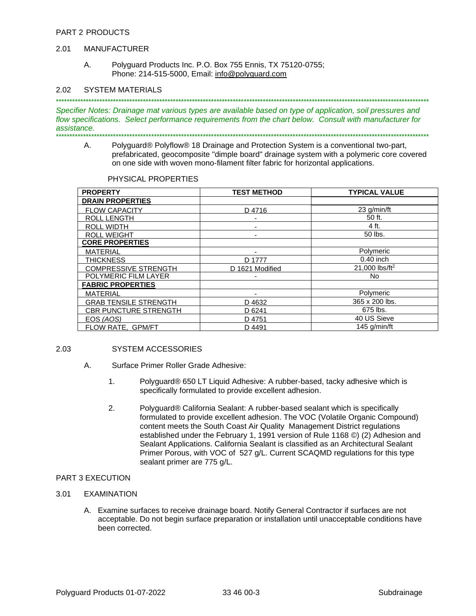#### **MANUFACTURER** 2.01

А. Polyguard Products Inc. P.O. Box 755 Ennis, TX 75120-0755; Phone: 214-515-5000, Email: info@polyguard.com

#### **SYSTEM MATERIALS** 2.02

Specifier Notes: Drainage mat various types are available based on type of application, soil pressures and flow specifications. Select performance requirements from the chart below. Consult with manufacturer for assistance.

А. Polyguard® Polyflow® 18 Drainage and Protection System is a conventional two-part, prefabricated, geocomposite "dimple board" drainage system with a polymeric core covered on one side with woven mono-filament filter fabric for horizontal applications.

PHYSICAL PROPERTIES

| <b>PROPERTY</b>              | <b>TEST METHOD</b> | <b>TYPICAL VALUE</b>       |
|------------------------------|--------------------|----------------------------|
| <b>DRAIN PROPERTIES</b>      |                    |                            |
| <b>FLOW CAPACITY</b>         | D4716              | 23 g/min/ft                |
| <b>ROLL LENGTH</b>           |                    | 50 ft.                     |
| <b>ROLL WIDTH</b>            |                    | 4 ft.                      |
| <b>ROLL WEIGHT</b>           |                    | 50 lbs.                    |
| <b>CORE PROPERTIES</b>       |                    |                            |
| <b>MATERIAL</b>              |                    | Polymeric                  |
| <b>THICKNESS</b>             | D 1777             | $0.40$ inch                |
| <b>COMPRESSIVE STRENGTH</b>  | D 1621 Modified    | 21,000 lbs/ft <sup>2</sup> |
| POLYMERIC FILM LAYER         |                    | No.                        |
| <b>FABRIC PROPERTIES</b>     |                    |                            |
| <b>MATERIAL</b>              |                    | Polymeric                  |
| <b>GRAB TENSILE STRENGTH</b> | D 4632             | 365 x 200 lbs.             |
| <b>CBR PUNCTURE STRENGTH</b> | D 6241             | 675 lbs.                   |
| EOS (AOS)                    | D 4751             | 40 US Sieve                |
| FLOW RATE, GPM/FT            | D 4491             | 145 $q/min/ft$             |

#### 2.03 **SYSTEM ACCESSORIES**

- $A_{1}$ Surface Primer Roller Grade Adhesive:
	- $1<sub>1</sub>$ Polyguard® 650 LT Liguid Adhesive: A rubber-based, tacky adhesive which is specifically formulated to provide excellent adhesion.
	- $2.$ Polyguard® California Sealant: A rubber-based sealant which is specifically formulated to provide excellent adhesion. The VOC (Volatile Organic Compound) content meets the South Coast Air Quality Management District regulations established under the February 1, 1991 version of Rule 1168 (2) (2) Adhesion and Sealant Applications. California Sealant is classified as an Architectural Sealant Primer Porous, with VOC of 527 g/L. Current SCAQMD regulations for this type sealant primer are 775 g/L.

## PART 3 EXECUTION

- **EXAMINATION**  $3.01$ 
	- A. Examine surfaces to receive drainage board. Notify General Contractor if surfaces are not acceptable. Do not begin surface preparation or installation until unacceptable conditions have been corrected.